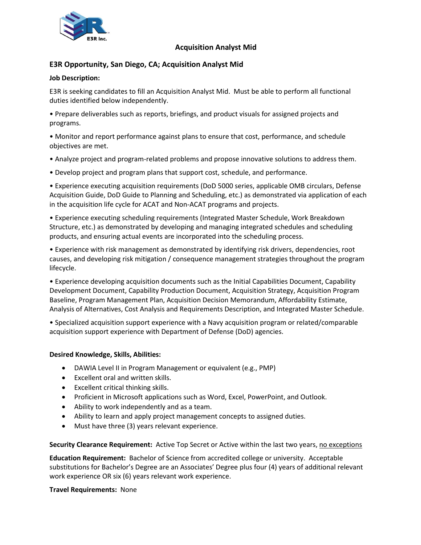

## **Acquisition Analyst Mid**

# **E3R Opportunity, San Diego, CA; Acquisition Analyst Mid**

## **Job Description:**

E3R is seeking candidates to fill an Acquisition Analyst Mid. Must be able to perform all functional duties identified below independently.

• Prepare deliverables such as reports, briefings, and product visuals for assigned projects and programs.

• Monitor and report performance against plans to ensure that cost, performance, and schedule objectives are met.

- Analyze project and program-related problems and propose innovative solutions to address them.
- Develop project and program plans that support cost, schedule, and performance.

• Experience executing acquisition requirements (DoD 5000 series, applicable OMB circulars, Defense Acquisition Guide, DoD Guide to Planning and Scheduling, etc.) as demonstrated via application of each in the acquisition life cycle for ACAT and Non-ACAT programs and projects.

• Experience executing scheduling requirements (Integrated Master Schedule, Work Breakdown Structure, etc.) as demonstrated by developing and managing integrated schedules and scheduling products, and ensuring actual events are incorporated into the scheduling process.

• Experience with risk management as demonstrated by identifying risk drivers, dependencies, root causes, and developing risk mitigation / consequence management strategies throughout the program lifecycle.

• Experience developing acquisition documents such as the Initial Capabilities Document, Capability Development Document, Capability Production Document, Acquisition Strategy, Acquisition Program Baseline, Program Management Plan, Acquisition Decision Memorandum, Affordability Estimate, Analysis of Alternatives, Cost Analysis and Requirements Description, and Integrated Master Schedule.

• Specialized acquisition support experience with a Navy acquisition program or related/comparable acquisition support experience with Department of Defense (DoD) agencies.

### **Desired Knowledge, Skills, Abilities:**

- DAWIA Level II in Program Management or equivalent (e.g., PMP)
- Excellent oral and written skills.
- Excellent critical thinking skills.
- Proficient in Microsoft applications such as Word, Excel, PowerPoint, and Outlook.
- Ability to work independently and as a team.
- Ability to learn and apply project management concepts to assigned duties.
- Must have three (3) years relevant experience.

**Security Clearance Requirement:** Active Top Secret or Active within the last two years, no exceptions

**Education Requirement:** Bachelor of Science from accredited college or university. Acceptable substitutions for Bachelor's Degree are an Associates' Degree plus four (4) years of additional relevant work experience OR six (6) years relevant work experience.

### **Travel Requirements:** None